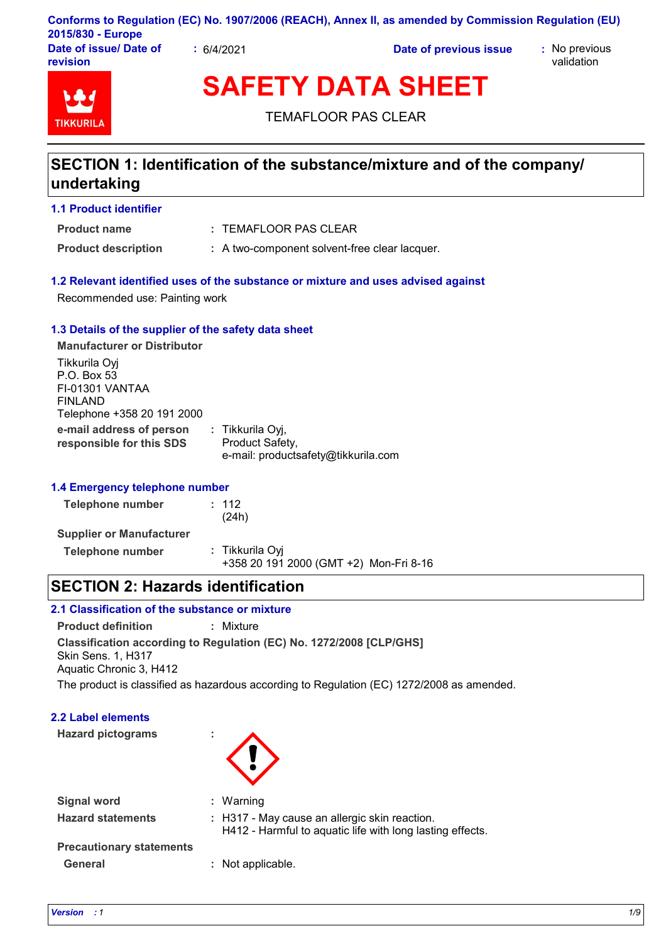|                                    |          | Conforms to Regulation (EC) No. 1907/2006 (REACH), Annex II, as amended by Commission Regulation (EU) |                             |
|------------------------------------|----------|-------------------------------------------------------------------------------------------------------|-----------------------------|
| 2015/830 - Europe                  |          |                                                                                                       |                             |
| Date of issue/ Date of<br>revision | 6/4/2021 | Date of previous issue                                                                                | : No previous<br>validation |

# **TIKKURIL**

**SAFETY DATA SHEET**

TEMAFLOOR PAS CLEAR

# **SECTION 1: Identification of the substance/mixture and of the company/ undertaking**

## **1.1 Product identifier**

TEMAFLOOR PAS CLEAR **: Product name**

**Product description : A two-component solvent-free clear lacquer.** 

## **1.2 Relevant identified uses of the substance or mixture and uses advised against**

Recommended use: Painting work

## **1.3 Details of the supplier of the safety data sheet**

**e-mail address of person responsible for this SDS :** Tikkurila Oyj, Product Safety, e-mail: productsafety@tikkurila.com **Manufacturer or Distributor** Tikkurila Oyj P.O. Box 53 FI-01301 VANTAA FINLAND Telephone +358 20 191 2000

## **1.4 Emergency telephone number**

| Telephone number                | : 112<br>(24h)                                            |  |
|---------------------------------|-----------------------------------------------------------|--|
| <b>Supplier or Manufacturer</b> |                                                           |  |
| Telephone number                | : Tikkurila Oyi<br>+358 20 191 2000 (GMT +2) Mon-Fri 8-16 |  |

# **SECTION 2: Hazards identification**

## **2.1 Classification of the substance or mixture**

**Product definition :** Mixture

**Classification according to Regulation (EC) No. 1272/2008 [CLP/GHS]** Skin Sens. 1, H317

Aquatic Chronic 3, H412

The product is classified as hazardous according to Regulation (EC) 1272/2008 as amended.

## **2.2 Label elements**

**Hazard pictograms :**



| <b>Signal word</b>              | : Warning                                                                                                  |
|---------------------------------|------------------------------------------------------------------------------------------------------------|
| <b>Hazard statements</b>        | : H317 - May cause an allergic skin reaction.<br>H412 - Harmful to aquatic life with long lasting effects. |
| <b>Precautionary statements</b> |                                                                                                            |
| <b>General</b>                  | : Not applicable.                                                                                          |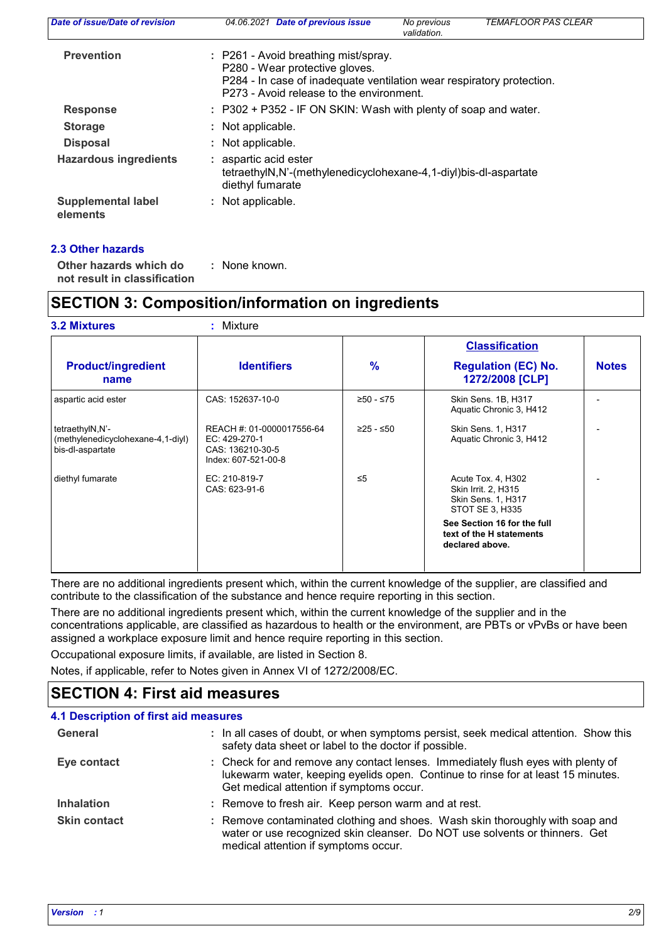| Date of issue/Date of revision        | 04.06.2021 Date of previous issue                                                                                                                                                           | No previous<br>validation. | <b>TEMAFLOOR PAS CLEAR</b> |
|---------------------------------------|---------------------------------------------------------------------------------------------------------------------------------------------------------------------------------------------|----------------------------|----------------------------|
| <b>Prevention</b>                     | : P261 - Avoid breathing mist/spray.<br>P280 - Wear protective gloves.<br>P284 - In case of inadequate ventilation wear respiratory protection.<br>P273 - Avoid release to the environment. |                            |                            |
| <b>Response</b>                       | : P302 + P352 - IF ON SKIN: Wash with plenty of soap and water.                                                                                                                             |                            |                            |
| <b>Storage</b>                        | Not applicable.                                                                                                                                                                             |                            |                            |
| <b>Disposal</b>                       | : Not applicable.                                                                                                                                                                           |                            |                            |
| <b>Hazardous ingredients</b>          | : aspartic acid ester<br>tetraethylN,N'-(methylenedicyclohexane-4,1-diyl)bis-dl-aspartate<br>diethyl fumarate                                                                               |                            |                            |
| <b>Supplemental label</b><br>elements | : Not applicable.                                                                                                                                                                           |                            |                            |

## **2.3 Other hazards**

**Other hazards which do : not result in classification** : None known.

# **SECTION 3: Composition/information on ingredients**

|                                                                          |                                                                                       |               | <b>Classification</b>                                                                     |              |
|--------------------------------------------------------------------------|---------------------------------------------------------------------------------------|---------------|-------------------------------------------------------------------------------------------|--------------|
| <b>Product/ingredient</b><br>name                                        | <b>Identifiers</b>                                                                    | $\frac{9}{6}$ | <b>Regulation (EC) No.</b><br>1272/2008 [CLP]                                             | <b>Notes</b> |
| aspartic acid ester                                                      | CAS: 152637-10-0                                                                      | ≥50 - ≤75     | Skin Sens. 1B, H317<br>Aquatic Chronic 3, H412                                            |              |
| tetraethylN,N'-<br>(methylenedicyclohexane-4,1-diyl)<br>bis-dl-aspartate | REACH #: 01-0000017556-64<br>EC: 429-270-1<br>CAS: 136210-30-5<br>Index: 607-521-00-8 | ≥25 - ≤50     | <b>Skin Sens. 1, H317</b><br>Aquatic Chronic 3, H412                                      |              |
| diethyl fumarate                                                         | EC: 210-819-7<br>CAS: 623-91-6                                                        | $\leq 5$      | Acute Tox. 4, H302<br>Skin Irrit. 2, H315<br><b>Skin Sens. 1, H317</b><br>STOT SE 3, H335 |              |
|                                                                          |                                                                                       |               | See Section 16 for the full<br>text of the H statements<br>declared above.                |              |

There are no additional ingredients present which, within the current knowledge of the supplier, are classified and contribute to the classification of the substance and hence require reporting in this section.

There are no additional ingredients present which, within the current knowledge of the supplier and in the concentrations applicable, are classified as hazardous to health or the environment, are PBTs or vPvBs or have been assigned a workplace exposure limit and hence require reporting in this section.

Occupational exposure limits, if available, are listed in Section 8.

Notes, if applicable, refer to Notes given in Annex VI of 1272/2008/EC.

# **SECTION 4: First aid measures**

| <b>4.1 Description of first aid measures</b> |                                                                                                                                                                                                                  |
|----------------------------------------------|------------------------------------------------------------------------------------------------------------------------------------------------------------------------------------------------------------------|
| General                                      | : In all cases of doubt, or when symptoms persist, seek medical attention. Show this<br>safety data sheet or label to the doctor if possible.                                                                    |
| Eye contact                                  | : Check for and remove any contact lenses. Immediately flush eyes with plenty of<br>lukewarm water, keeping eyelids open. Continue to rinse for at least 15 minutes.<br>Get medical attention if symptoms occur. |
| <b>Inhalation</b>                            | : Remove to fresh air. Keep person warm and at rest.                                                                                                                                                             |
| <b>Skin contact</b>                          | : Remove contaminated clothing and shoes. Wash skin thoroughly with soap and<br>water or use recognized skin cleanser. Do NOT use solvents or thinners. Get<br>medical attention if symptoms occur.              |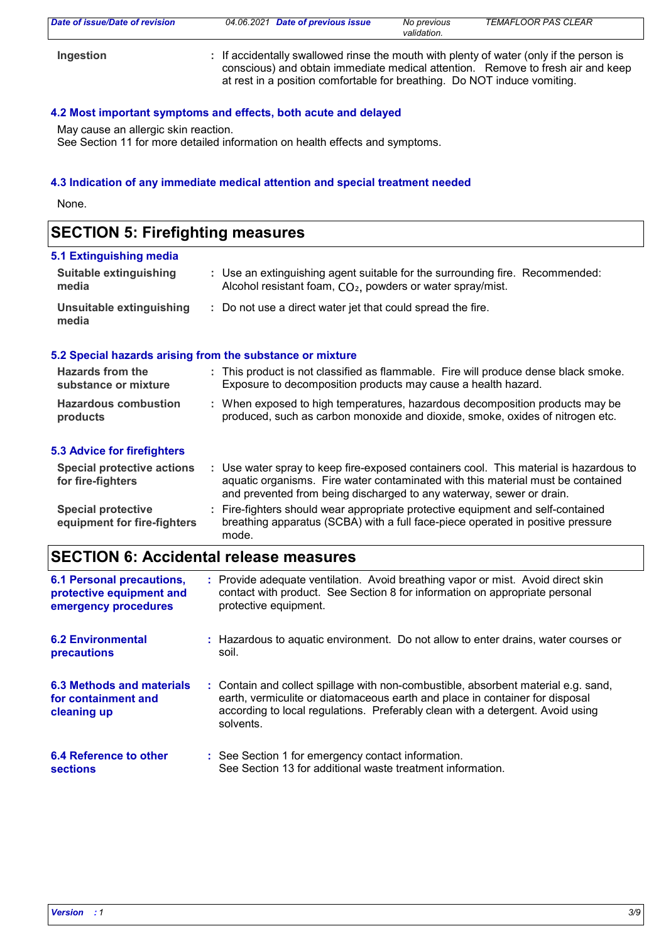| Date of issue/Date of revision | 04.06.2021 Date of previous issue                                                                                                                                   | No previous<br>validation. | <b>TEMAFLOOR PAS CLEAR</b>                                                      |
|--------------------------------|---------------------------------------------------------------------------------------------------------------------------------------------------------------------|----------------------------|---------------------------------------------------------------------------------|
| Ingestion                      | : If accidentally swallowed rinse the mouth with plenty of water (only if the person is<br>at rest in a position comfortable for breathing. Do NOT induce vomiting. |                            | conscious) and obtain immediate medical attention. Remove to fresh air and keep |

## **4.2 Most important symptoms and effects, both acute and delayed**

May cause an allergic skin reaction.

See Section 11 for more detailed information on health effects and symptoms.

## **4.3 Indication of any immediate medical attention and special treatment needed**

None.

# **SECTION 5: Firefighting measures**

| 5.1 Extinguishing media                                                              |                                                                                                                                                                                                                                                  |  |
|--------------------------------------------------------------------------------------|--------------------------------------------------------------------------------------------------------------------------------------------------------------------------------------------------------------------------------------------------|--|
| <b>Suitable extinguishing</b><br>media                                               | : Use an extinguishing agent suitable for the surrounding fire. Recommended:<br>Alcohol resistant foam, CO <sub>2</sub> , powders or water spray/mist.                                                                                           |  |
| <b>Unsuitable extinguishing</b><br>media                                             | : Do not use a direct water jet that could spread the fire.                                                                                                                                                                                      |  |
|                                                                                      | 5.2 Special hazards arising from the substance or mixture                                                                                                                                                                                        |  |
| <b>Hazards from the</b><br>substance or mixture                                      | : This product is not classified as flammable. Fire will produce dense black smoke.<br>Exposure to decomposition products may cause a health hazard.                                                                                             |  |
| <b>Hazardous combustion</b><br>products                                              | : When exposed to high temperatures, hazardous decomposition products may be<br>produced, such as carbon monoxide and dioxide, smoke, oxides of nitrogen etc.                                                                                    |  |
| <b>5.3 Advice for firefighters</b>                                                   |                                                                                                                                                                                                                                                  |  |
| <b>Special protective actions</b><br>for fire-fighters                               | : Use water spray to keep fire-exposed containers cool. This material is hazardous to<br>aquatic organisms. Fire water contaminated with this material must be contained<br>and prevented from being discharged to any waterway, sewer or drain. |  |
| <b>Special protective</b><br>equipment for fire-fighters                             | Fire-fighters should wear appropriate protective equipment and self-contained<br>breathing apparatus (SCBA) with a full face-piece operated in positive pressure<br>mode.                                                                        |  |
|                                                                                      | <b>SECTION 6: Accidental release measures</b>                                                                                                                                                                                                    |  |
| <b>6.1 Personal precautions,</b><br>protective equipment and<br>emergency procedures | : Provide adequate ventilation. Avoid breathing vapor or mist. Avoid direct skin<br>contact with product. See Section 8 for information on appropriate personal<br>protective equipment.                                                         |  |
| <b>6.2 Environmental</b><br>precautions                                              | : Hazardous to aquatic environment. Do not allow to enter drains, water courses or<br>soil.                                                                                                                                                      |  |
| <b>6.3 Methods and materials</b><br>for containment and                              | : Contain and collect spillage with non-combustible, absorbent material e.g. sand,<br>earth, vermiculite or diatomaceous earth and place in container for disposal                                                                               |  |

| cleaning up                   | according to local regulations. Preferably clean with a detergent. Avoid using<br>solvents. |
|-------------------------------|---------------------------------------------------------------------------------------------|
| <b>6.4 Reference to other</b> | See Section 1 for emergency contact information                                             |

| 6.4 Reference to other | : See Section 1 for emergency contact information.         |
|------------------------|------------------------------------------------------------|
| <b>sections</b>        | See Section 13 for additional waste treatment information. |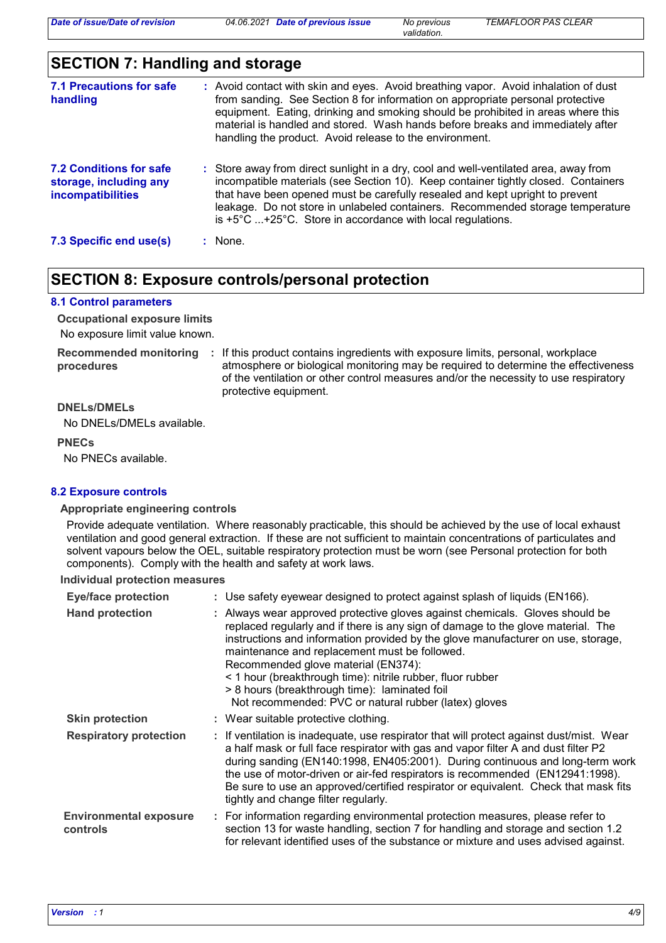*validation.*

# **SECTION 7: Handling and storage**

| <b>7.1 Precautions for safe</b><br>handling                                   | : Avoid contact with skin and eyes. Avoid breathing vapor. Avoid inhalation of dust<br>from sanding. See Section 8 for information on appropriate personal protective<br>equipment. Eating, drinking and smoking should be prohibited in areas where this<br>material is handled and stored. Wash hands before breaks and immediately after<br>handling the product. Avoid release to the environment.                |
|-------------------------------------------------------------------------------|-----------------------------------------------------------------------------------------------------------------------------------------------------------------------------------------------------------------------------------------------------------------------------------------------------------------------------------------------------------------------------------------------------------------------|
| <b>7.2 Conditions for safe</b><br>storage, including any<br>incompatibilities | : Store away from direct sunlight in a dry, cool and well-ventilated area, away from<br>incompatible materials (see Section 10). Keep container tightly closed. Containers<br>that have been opened must be carefully resealed and kept upright to prevent<br>leakage. Do not store in unlabeled containers. Recommended storage temperature<br>is $+5^{\circ}$ C  +25°C. Store in accordance with local regulations. |
| 7.3 Specific end use(s)                                                       | : None.                                                                                                                                                                                                                                                                                                                                                                                                               |

# **SECTION 8: Exposure controls/personal protection**

#### **8.1 Control parameters**

No exposure limit value known. **Occupational exposure limits**

**procedures**

**Recommended monitoring**  If this product contains ingredients with exposure limits, personal, workplace **:** atmosphere or biological monitoring may be required to determine the effectiveness of the ventilation or other control measures and/or the necessity to use respiratory protective equipment.

#### **DNELs/DMELs**

No DNELs/DMELs available.

#### **PNECs**

No PNECs available.

## **8.2 Exposure controls**

#### **Appropriate engineering controls**

Provide adequate ventilation. Where reasonably practicable, this should be achieved by the use of local exhaust ventilation and good general extraction. If these are not sufficient to maintain concentrations of particulates and solvent vapours below the OEL, suitable respiratory protection must be worn (see Personal protection for both components). Comply with the health and safety at work laws.

**Individual protection measures**

| <b>Eye/face protection</b>                | : Use safety eyewear designed to protect against splash of liquids (EN166).                                                                                                                                                                                                                                                                                                                                                                                                                                          |
|-------------------------------------------|----------------------------------------------------------------------------------------------------------------------------------------------------------------------------------------------------------------------------------------------------------------------------------------------------------------------------------------------------------------------------------------------------------------------------------------------------------------------------------------------------------------------|
| <b>Hand protection</b>                    | : Always wear approved protective gloves against chemicals. Gloves should be<br>replaced regularly and if there is any sign of damage to the glove material. The<br>instructions and information provided by the glove manufacturer on use, storage,<br>maintenance and replacement must be followed.<br>Recommended glove material (EN374):<br>< 1 hour (breakthrough time): nitrile rubber, fluor rubber<br>> 8 hours (breakthrough time): laminated foil<br>Not recommended: PVC or natural rubber (latex) gloves |
| <b>Skin protection</b>                    | : Wear suitable protective clothing.                                                                                                                                                                                                                                                                                                                                                                                                                                                                                 |
| <b>Respiratory protection</b>             | : If ventilation is inadequate, use respirator that will protect against dust/mist. Wear<br>a half mask or full face respirator with gas and vapor filter A and dust filter P2<br>during sanding (EN140:1998, EN405:2001). During continuous and long-term work<br>the use of motor-driven or air-fed respirators is recommended (EN12941:1998).<br>Be sure to use an approved/certified respirator or equivalent. Check that mask fits<br>tightly and change filter regularly.                                      |
| <b>Environmental exposure</b><br>controls | : For information regarding environmental protection measures, please refer to<br>section 13 for waste handling, section 7 for handling and storage and section 1.2<br>for relevant identified uses of the substance or mixture and uses advised against.                                                                                                                                                                                                                                                            |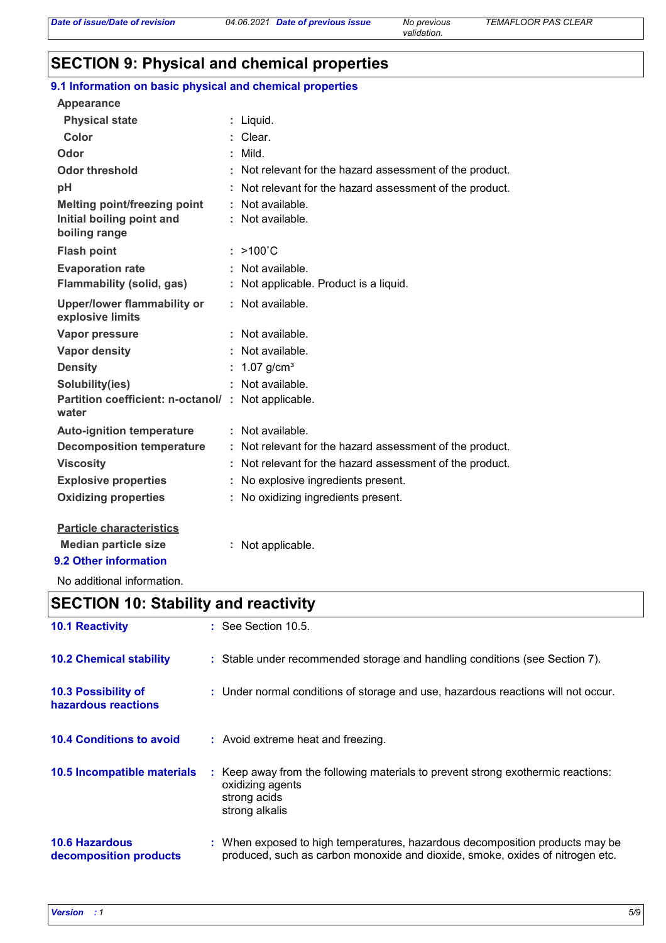# **SECTION 9: Physical and chemical properties**

| 9.1 Information on basic physical and chemical properties   |                                                          |
|-------------------------------------------------------------|----------------------------------------------------------|
| <b>Appearance</b>                                           |                                                          |
| <b>Physical state</b>                                       | : Liquid.                                                |
| <b>Color</b>                                                | : Clear.                                                 |
| Odor                                                        | $:$ Mild.                                                |
| <b>Odor threshold</b>                                       | : Not relevant for the hazard assessment of the product. |
| рH                                                          | : Not relevant for the hazard assessment of the product. |
| <b>Melting point/freezing point</b>                         | : Not available.                                         |
| Initial boiling point and<br>boiling range                  | : Not available.                                         |
| <b>Flash point</b>                                          | $>100^{\circ}$ C                                         |
| <b>Evaporation rate</b>                                     | : Not available.                                         |
| <b>Flammability (solid, gas)</b>                            | : Not applicable. Product is a liquid.                   |
| <b>Upper/lower flammability or</b><br>explosive limits      | : Not available.                                         |
| <b>Vapor pressure</b>                                       | : Not available.                                         |
| <b>Vapor density</b>                                        | : Not available.                                         |
| <b>Density</b>                                              | 1.07 $q/cm^{3}$                                          |
| Solubility(ies)                                             | : Not available.                                         |
| Partition coefficient: n-octanol/: Not applicable.<br>water |                                                          |
| <b>Auto-ignition temperature</b>                            | : Not available.                                         |
| <b>Decomposition temperature</b>                            | : Not relevant for the hazard assessment of the product. |
| <b>Viscosity</b>                                            | : Not relevant for the hazard assessment of the product. |
| <b>Explosive properties</b>                                 | : No explosive ingredients present.                      |
| <b>Oxidizing properties</b>                                 | : No oxidizing ingredients present.                      |
| <b>Particle characteristics</b>                             |                                                          |

**Median particle size :** Not applicable. **9.2 Other information**

No additional information.

# **SECTION 10: Stability and reactivity**

| <b>10.1 Reactivity</b>                          | $\therefore$ See Section 10.5.                                                                                                                                |
|-------------------------------------------------|---------------------------------------------------------------------------------------------------------------------------------------------------------------|
| <b>10.2 Chemical stability</b>                  | : Stable under recommended storage and handling conditions (see Section 7).                                                                                   |
| 10.3 Possibility of<br>hazardous reactions      | : Under normal conditions of storage and use, hazardous reactions will not occur.                                                                             |
| <b>10.4 Conditions to avoid</b>                 | : Avoid extreme heat and freezing.                                                                                                                            |
| 10.5 Incompatible materials                     | : Keep away from the following materials to prevent strong exothermic reactions:<br>oxidizing agents<br>strong acids<br>strong alkalis                        |
| <b>10.6 Hazardous</b><br>decomposition products | : When exposed to high temperatures, hazardous decomposition products may be<br>produced, such as carbon monoxide and dioxide, smoke, oxides of nitrogen etc. |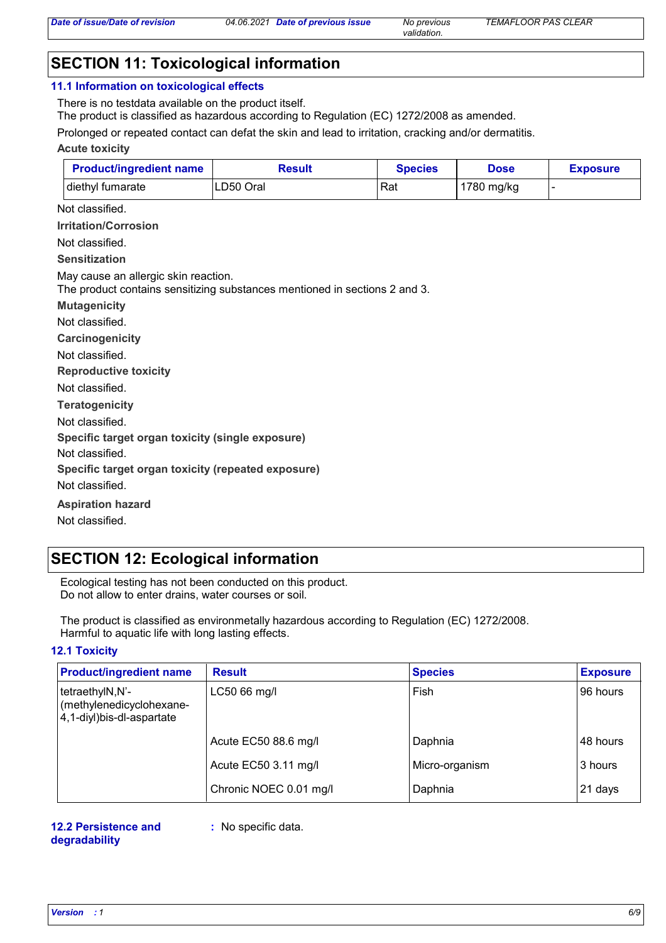*validation.*

# **SECTION 11: Toxicological information**

#### **11.1 Information on toxicological effects**

There is no testdata available on the product itself.

The product is classified as hazardous according to Regulation (EC) 1272/2008 as amended.

Prolonged or repeated contact can defat the skin and lead to irritation, cracking and/or dermatitis.

#### **Acute toxicity**

| <b>Product/ingredient name</b> | Result     | <b>Species</b> | <b>Dose</b> | <b>Exposure</b> |
|--------------------------------|------------|----------------|-------------|-----------------|
| diethyl fumarate               | ILD50 Oral | Rat            | 1780 mg/kg  |                 |

Not classified.

**Irritation/Corrosion**

Not classified.

#### **Sensitization**

May cause an allergic skin reaction.

The product contains sensitizing substances mentioned in sections 2 and 3.

**Mutagenicity**

Not classified.

**Carcinogenicity**

Not classified.

**Reproductive toxicity**

Not classified.

**Teratogenicity**

Not classified.

**Specific target organ toxicity (single exposure)**

Not classified.

**Specific target organ toxicity (repeated exposure)**

Not classified.

#### **Aspiration hazard**

Not classified.

# **SECTION 12: Ecological information**

Ecological testing has not been conducted on this product. Do not allow to enter drains, water courses or soil.

The product is classified as environmetally hazardous according to Regulation (EC) 1272/2008. Harmful to aquatic life with long lasting effects.

## **12.1 Toxicity**

| <b>Product/ingredient name</b>                                            | <b>Result</b>          | <b>Species</b> | <b>Exposure</b> |
|---------------------------------------------------------------------------|------------------------|----------------|-----------------|
| tetraethylN,N'-<br>(methylenedicyclohexane-<br>4,1-diyl) bis-dl-aspartate | LC50 66 mg/l           | Fish           | 96 hours        |
|                                                                           | Acute EC50 88.6 mg/l   | Daphnia        | 48 hours        |
|                                                                           | Acute EC50 3.11 mg/l   | Micro-organism | 3 hours         |
|                                                                           | Chronic NOEC 0.01 mg/l | Daphnia        | 21 days         |

#### **12.2 Persistence and degradability**

**:** No specific data.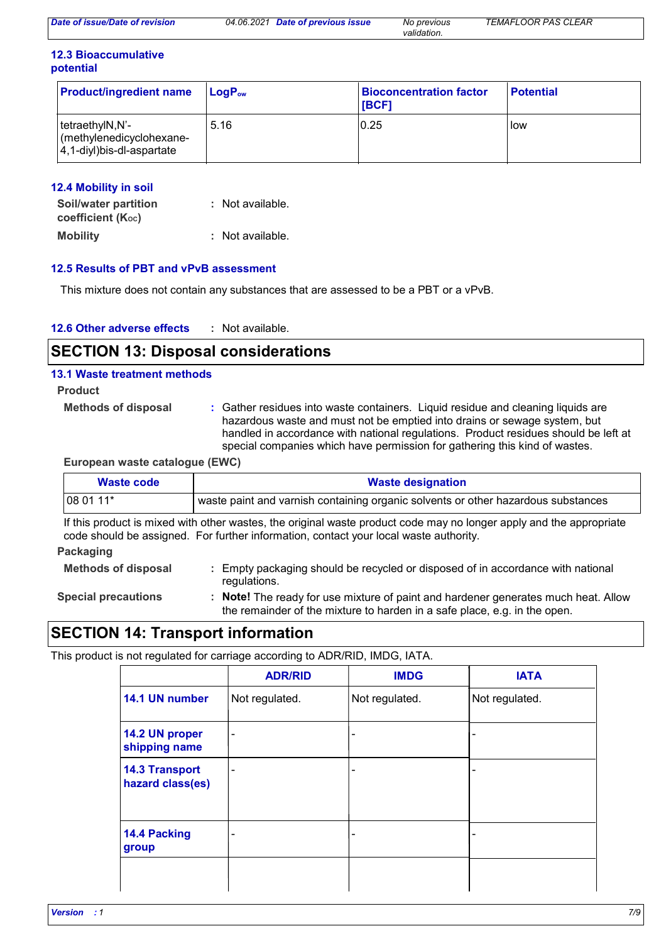| Date of issue/Date of revision | 04.06.2021 | Date of previous issue | No previous | <b>TEMAFLOOR PAS CLEAR</b> |
|--------------------------------|------------|------------------------|-------------|----------------------------|
|                                |            |                        | validation. |                            |

## **12.3 Bioaccumulative potential**

| <b>Product/ingredient name</b>                                                                | $\mathsf{LogP}_\mathsf{ow}$ | <b>Bioconcentration factor</b><br><b>IBCF1</b> | <b>Potential</b> |
|-----------------------------------------------------------------------------------------------|-----------------------------|------------------------------------------------|------------------|
| tetraethylN,N'-<br>$\sqrt{\frac{1}{2}}$ (methylenedicyclohexane-<br>4,1-diyl)bis-dl-aspartate | 5.16                        | 0.25                                           | low              |

# **12.4 Mobility in soil**

| Soil/water partition<br>coefficient (Koc) | : Not available. |
|-------------------------------------------|------------------|
| <b>Mobility</b>                           | : Not available. |

# **12.5 Results of PBT and vPvB assessment**

This mixture does not contain any substances that are assessed to be a PBT or a vPvB.

| 12.6 Other adverse effects |  | Not available. |
|----------------------------|--|----------------|
|----------------------------|--|----------------|

# **SECTION 13: Disposal considerations**

## **13.1 Waste treatment methods**

- **Product**
	- **Methods of disposal :**
- Gather residues into waste containers. Liquid residue and cleaning liquids are hazardous waste and must not be emptied into drains or sewage system, but handled in accordance with national regulations. Product residues should be left at special companies which have permission for gathering this kind of wastes.

## **European waste catalogue (EWC)**

| <b>Waste code</b>          | <b>Waste designation</b>                                                                                                                                                                                     |  |  |  |  |  |
|----------------------------|--------------------------------------------------------------------------------------------------------------------------------------------------------------------------------------------------------------|--|--|--|--|--|
| 08 01 11*                  | waste paint and varnish containing organic solvents or other hazardous substances                                                                                                                            |  |  |  |  |  |
|                            | If this product is mixed with other wastes, the original waste product code may no longer apply and the appropriate<br>code should be assigned. For further information, contact your local waste authority. |  |  |  |  |  |
| Packaging                  |                                                                                                                                                                                                              |  |  |  |  |  |
| <b>Methods of disposal</b> | Empty packaging should be recycled or disposed of in accordance with national<br>regulations.                                                                                                                |  |  |  |  |  |
| <b>Special precautions</b> | : Note! The ready for use mixture of paint and hardener generates much heat. Allow<br>the remainder of the mixture to harden in a safe place, e.g. in the open.                                              |  |  |  |  |  |

# **SECTION 14: Transport information**

This product is not regulated for carriage according to ADR/RID, IMDG, IATA.

|                                           | <b>ADR/RID</b> | <b>IMDG</b>              | <b>IATA</b>    |
|-------------------------------------------|----------------|--------------------------|----------------|
| 14.1 UN number                            | Not regulated. | Not regulated.           | Not regulated. |
| 14.2 UN proper<br>shipping name           | -              | $\overline{\phantom{0}}$ |                |
| <b>14.3 Transport</b><br>hazard class(es) | -              | -                        |                |
| 14.4 Packing<br>group                     | -              | ۰                        |                |
|                                           |                |                          |                |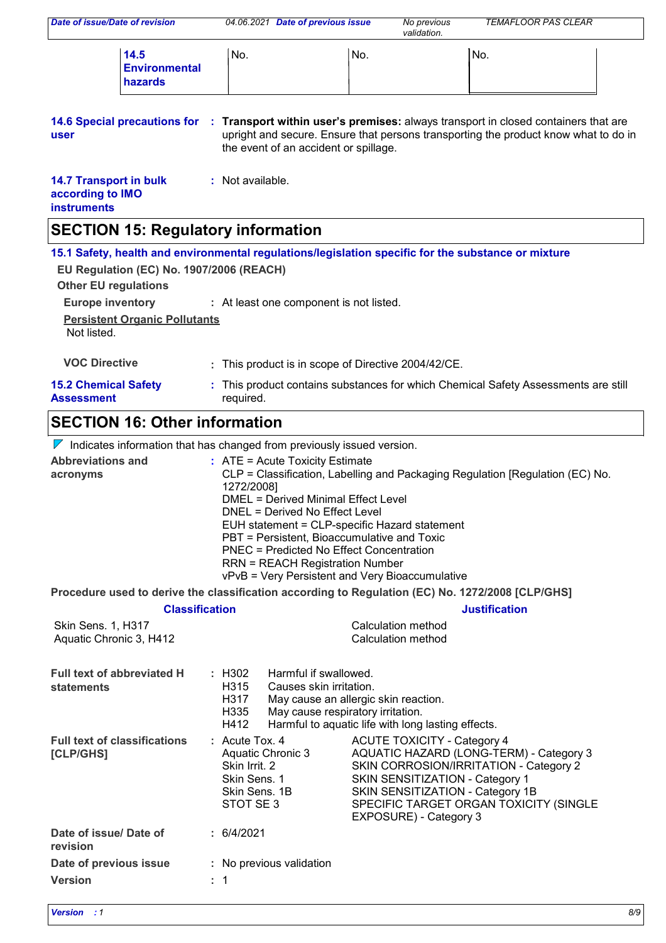| Date of issue/Date of revision                                          |                                                                                 |                                                                                                                                                                                                                                                                                                                                                                                 | 04.06.2021 Date of previous issue                                                                                                                                                                                                                                                                                                                                 |     | No previous<br>validation.                         | <b>TEMAFLOOR PAS CLEAR</b>                                                                                                                                                |  |
|-------------------------------------------------------------------------|---------------------------------------------------------------------------------|---------------------------------------------------------------------------------------------------------------------------------------------------------------------------------------------------------------------------------------------------------------------------------------------------------------------------------------------------------------------------------|-------------------------------------------------------------------------------------------------------------------------------------------------------------------------------------------------------------------------------------------------------------------------------------------------------------------------------------------------------------------|-----|----------------------------------------------------|---------------------------------------------------------------------------------------------------------------------------------------------------------------------------|--|
|                                                                         | 14.5<br><b>Environmental</b><br>hazards                                         | No.                                                                                                                                                                                                                                                                                                                                                                             |                                                                                                                                                                                                                                                                                                                                                                   | No. |                                                    | No.                                                                                                                                                                       |  |
| <b>14.6 Special precautions for</b><br>user                             |                                                                                 |                                                                                                                                                                                                                                                                                                                                                                                 | the event of an accident or spillage.                                                                                                                                                                                                                                                                                                                             |     |                                                    | : Transport within user's premises: always transport in closed containers that are<br>upright and secure. Ensure that persons transporting the product know what to do in |  |
| <b>14.7 Transport in bulk</b><br>according to IMO<br><b>instruments</b> |                                                                                 | : Not available.                                                                                                                                                                                                                                                                                                                                                                |                                                                                                                                                                                                                                                                                                                                                                   |     |                                                    |                                                                                                                                                                           |  |
| <b>SECTION 15: Regulatory information</b>                               |                                                                                 |                                                                                                                                                                                                                                                                                                                                                                                 |                                                                                                                                                                                                                                                                                                                                                                   |     |                                                    |                                                                                                                                                                           |  |
| <b>Other EU regulations</b>                                             | EU Regulation (EC) No. 1907/2006 (REACH)                                        |                                                                                                                                                                                                                                                                                                                                                                                 |                                                                                                                                                                                                                                                                                                                                                                   |     |                                                    | 15.1 Safety, health and environmental regulations/legislation specific for the substance or mixture                                                                       |  |
| <b>Europe inventory</b>                                                 | <b>Persistent Organic Pollutants</b>                                            |                                                                                                                                                                                                                                                                                                                                                                                 | : At least one component is not listed.                                                                                                                                                                                                                                                                                                                           |     |                                                    |                                                                                                                                                                           |  |
| Not listed.                                                             |                                                                                 |                                                                                                                                                                                                                                                                                                                                                                                 |                                                                                                                                                                                                                                                                                                                                                                   |     |                                                    |                                                                                                                                                                           |  |
| <b>VOC Directive</b>                                                    |                                                                                 |                                                                                                                                                                                                                                                                                                                                                                                 | This product is in scope of Directive 2004/42/CE.                                                                                                                                                                                                                                                                                                                 |     |                                                    |                                                                                                                                                                           |  |
| <b>15.2 Chemical Safety</b><br><b>Assessment</b>                        |                                                                                 | required.                                                                                                                                                                                                                                                                                                                                                                       |                                                                                                                                                                                                                                                                                                                                                                   |     |                                                    | : This product contains substances for which Chemical Safety Assessments are still                                                                                        |  |
| <b>SECTION 16: Other information</b>                                    |                                                                                 |                                                                                                                                                                                                                                                                                                                                                                                 |                                                                                                                                                                                                                                                                                                                                                                   |     |                                                    |                                                                                                                                                                           |  |
|                                                                         | $\nabla$ Indicates information that has changed from previously issued version. |                                                                                                                                                                                                                                                                                                                                                                                 |                                                                                                                                                                                                                                                                                                                                                                   |     |                                                    |                                                                                                                                                                           |  |
| <b>Abbreviations and</b><br>acronyms                                    |                                                                                 | 1272/2008]                                                                                                                                                                                                                                                                                                                                                                      | $:$ ATE = Acute Toxicity Estimate<br><b>DMEL = Derived Minimal Effect Level</b><br>DNEL = Derived No Effect Level<br>EUH statement = CLP-specific Hazard statement<br>PBT = Persistent, Bioaccumulative and Toxic<br><b>PNEC = Predicted No Effect Concentration</b><br><b>RRN = REACH Registration Number</b><br>vPvB = Very Persistent and Very Bioaccumulative |     |                                                    | CLP = Classification, Labelling and Packaging Regulation [Regulation (EC) No.                                                                                             |  |
|                                                                         |                                                                                 |                                                                                                                                                                                                                                                                                                                                                                                 |                                                                                                                                                                                                                                                                                                                                                                   |     |                                                    | Procedure used to derive the classification according to Regulation (EC) No. 1272/2008 [CLP/GHS]                                                                          |  |
|                                                                         | <b>Classification</b>                                                           |                                                                                                                                                                                                                                                                                                                                                                                 |                                                                                                                                                                                                                                                                                                                                                                   |     |                                                    | <b>Justification</b>                                                                                                                                                      |  |
| Skin Sens. 1, H317<br>Aquatic Chronic 3, H412                           |                                                                                 |                                                                                                                                                                                                                                                                                                                                                                                 |                                                                                                                                                                                                                                                                                                                                                                   |     | Calculation method<br>Calculation method           |                                                                                                                                                                           |  |
| <b>Full text of abbreviated H</b><br>statements                         |                                                                                 | : H302<br>H315<br>H317<br>H335<br>H412                                                                                                                                                                                                                                                                                                                                          | Harmful if swallowed.<br>Causes skin irritation.<br>May cause an allergic skin reaction.<br>May cause respiratory irritation.                                                                                                                                                                                                                                     |     | Harmful to aquatic life with long lasting effects. |                                                                                                                                                                           |  |
| <b>Full text of classifications</b><br>[CLP/GHS]                        |                                                                                 | : Acute Tox. 4<br><b>ACUTE TOXICITY - Category 4</b><br>Aquatic Chronic 3<br>AQUATIC HAZARD (LONG-TERM) - Category 3<br>Skin Irrit. 2<br>SKIN CORROSION/IRRITATION - Category 2<br>Skin Sens. 1<br><b>SKIN SENSITIZATION - Category 1</b><br>Skin Sens. 1B<br>SKIN SENSITIZATION - Category 1B<br>STOT SE 3<br>SPECIFIC TARGET ORGAN TOXICITY (SINGLE<br>EXPOSURE) - Category 3 |                                                                                                                                                                                                                                                                                                                                                                   |     |                                                    |                                                                                                                                                                           |  |
| Date of issue/ Date of<br>revision                                      |                                                                                 | : 6/4/2021                                                                                                                                                                                                                                                                                                                                                                      |                                                                                                                                                                                                                                                                                                                                                                   |     |                                                    |                                                                                                                                                                           |  |
| Date of previous issue<br><b>Version</b>                                |                                                                                 | : 1                                                                                                                                                                                                                                                                                                                                                                             | : No previous validation                                                                                                                                                                                                                                                                                                                                          |     |                                                    |                                                                                                                                                                           |  |
|                                                                         |                                                                                 |                                                                                                                                                                                                                                                                                                                                                                                 |                                                                                                                                                                                                                                                                                                                                                                   |     |                                                    |                                                                                                                                                                           |  |